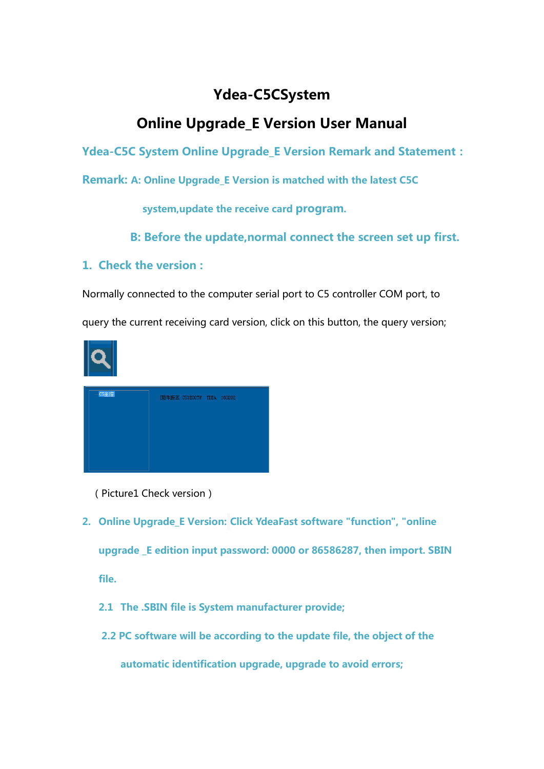## **Ydea-C5CSystem**

## **Online Upgrade\_E Version User Manual**

**Ydea-C5C System Online Upgrade\_E Version Remark and Statement:**

**Remark: A: Online Upgrade\_E Version is matched with the latest C5C**

**system,update the receive card program.**

**B: Before the update,normal connect the screen set up first.**

## **1. Check the version :**

Normally connected to the computer serial port to C5 controller COM port, to

query the current receiving card version, click on this button, the query version;



| C5主控 | 固件版本:C53E00TW YDEA 160202 |  |
|------|---------------------------|--|
|      |                           |  |
|      |                           |  |
|      |                           |  |
|      |                           |  |

(Picture1 Check version)

- **2. Online Upgrade\_E Version: Click YdeaFast software "function", "online upgrade \_E edition input password: 0000 or 86586287, then import. SBIN file.**
	- **2.1 The .SBIN file is System manufacturer provide;**
	- **2.2 PC software will be according to the update file, the object of the**

**automatic identification upgrade, upgrade to avoid errors;**